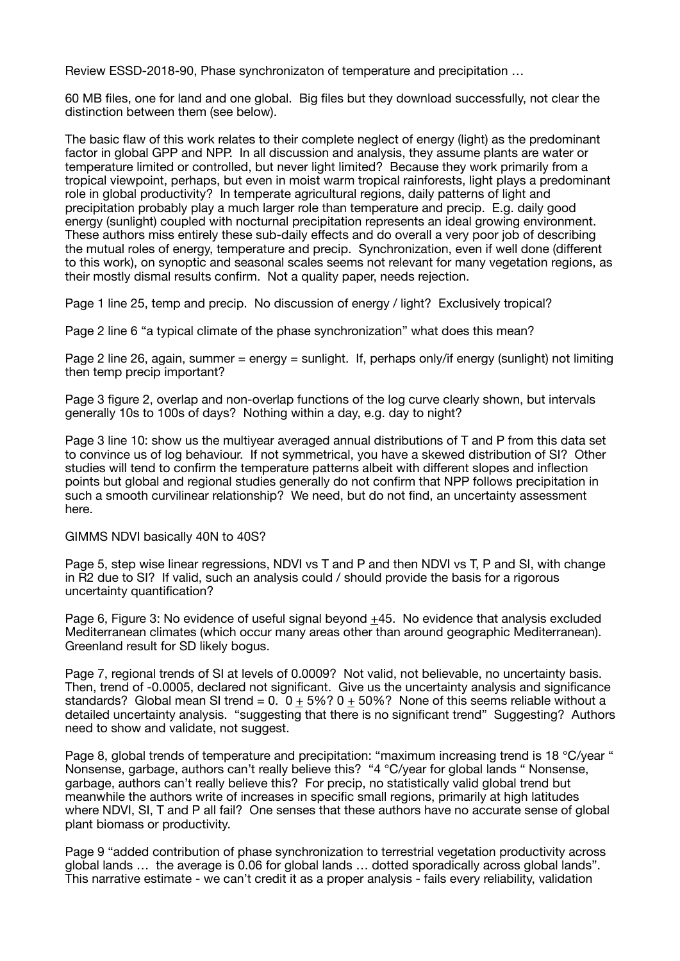Review ESSD-2018-90, Phase synchronizaton of temperature and precipitation …

60 MB files, one for land and one global. Big files but they download successfully, not clear the distinction between them (see below).

The basic flaw of this work relates to their complete neglect of energy (light) as the predominant factor in global GPP and NPP. In all discussion and analysis, they assume plants are water or temperature limited or controlled, but never light limited? Because they work primarily from a tropical viewpoint, perhaps, but even in moist warm tropical rainforests, light plays a predominant role in global productivity? In temperate agricultural regions, daily patterns of light and precipitation probably play a much larger role than temperature and precip. E.g. daily good energy (sunlight) coupled with nocturnal precipitation represents an ideal growing environment. These authors miss entirely these sub-daily effects and do overall a very poor job of describing the mutual roles of energy, temperature and precip. Synchronization, even if well done (different to this work), on synoptic and seasonal scales seems not relevant for many vegetation regions, as their mostly dismal results confirm. Not a quality paper, needs rejection.

Page 1 line 25, temp and precip. No discussion of energy / light? Exclusively tropical?

Page 2 line 6 "a typical climate of the phase synchronization" what does this mean?

Page 2 line 26, again, summer = energy = sunlight. If, perhaps only/if energy (sunlight) not limiting then temp precip important?

Page 3 figure 2, overlap and non-overlap functions of the log curve clearly shown, but intervals generally 10s to 100s of days? Nothing within a day, e.g. day to night?

Page 3 line 10: show us the multiyear averaged annual distributions of T and P from this data set to convince us of log behaviour. If not symmetrical, you have a skewed distribution of SI? Other studies will tend to confirm the temperature patterns albeit with different slopes and inflection points but global and regional studies generally do not confirm that NPP follows precipitation in such a smooth curvilinear relationship? We need, but do not find, an uncertainty assessment here.

## GIMMS NDVI basically 40N to 40S?

Page 5, step wise linear regressions, NDVI vs T and P and then NDVI vs T, P and SI, with change in R2 due to SI? If valid, such an analysis could / should provide the basis for a rigorous uncertainty quantification?

Page 6, Figure 3: No evidence of useful signal beyond +45. No evidence that analysis excluded Mediterranean climates (which occur many areas other than around geographic Mediterranean). Greenland result for SD likely bogus.

Page 7, regional trends of SI at levels of 0.0009? Not valid, not believable, no uncertainty basis. Then, trend of -0.0005, declared not significant. Give us the uncertainty analysis and significance standards? Global mean SI trend =  $0.0 + 5\%$ ? 0 + 50%? None of this seems reliable without a detailed uncertainty analysis. "suggesting that there is no significant trend" Suggesting? Authors need to show and validate, not suggest.

Page 8, global trends of temperature and precipitation: "maximum increasing trend is 18 ℃/year " Nonsense, garbage, authors can't really believe this? "4 ℃/year for global lands " Nonsense, garbage, authors can't really believe this? For precip, no statistically valid global trend but meanwhile the authors write of increases in specific small regions, primarily at high latitudes where NDVI, SI, T and P all fail? One senses that these authors have no accurate sense of global plant biomass or productivity.

Page 9 "added contribution of phase synchronization to terrestrial vegetation productivity across global lands … the average is 0.06 for global lands … dotted sporadically across global lands". This narrative estimate - we can't credit it as a proper analysis - fails every reliability, validation